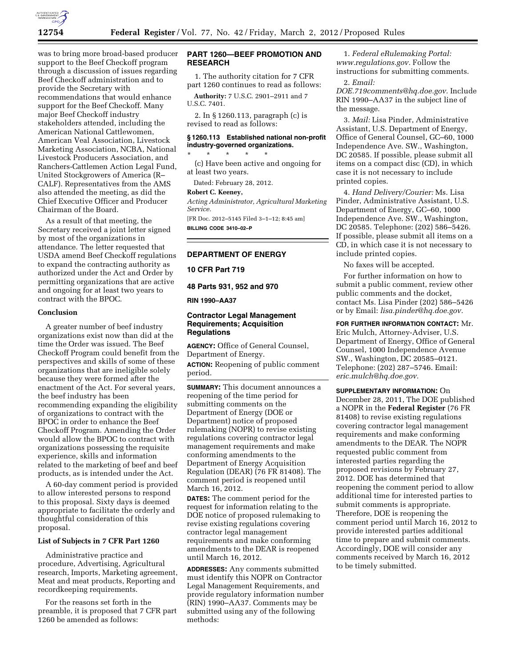

was to bring more broad-based producer support to the Beef Checkoff program through a discussion of issues regarding Beef Checkoff administration and to provide the Secretary with recommendations that would enhance support for the Beef Checkoff. Many major Beef Checkoff industry stakeholders attended, including the American National Cattlewomen, American Veal Association, Livestock Marketing Association, NCBA, National Livestock Producers Association, and Ranchers-Cattlemen Action Legal Fund, United Stockgrowers of America (R– CALF). Representatives from the AMS also attended the meeting, as did the Chief Executive Officer and Producer Chairman of the Board.

As a result of that meeting, the Secretary received a joint letter signed by most of the organizations in attendance. The letter requested that USDA amend Beef Checkoff regulations to expand the contracting authority as authorized under the Act and Order by permitting organizations that are active and ongoing for at least two years to contract with the BPOC.

#### **Conclusion**

A greater number of beef industry organizations exist now than did at the time the Order was issued. The Beef Checkoff Program could benefit from the perspectives and skills of some of these organizations that are ineligible solely because they were formed after the enactment of the Act. For several years, the beef industry has been recommending expanding the eligibility of organizations to contract with the BPOC in order to enhance the Beef Checkoff Program. Amending the Order would allow the BPOC to contract with organizations possessing the requisite experience, skills and information related to the marketing of beef and beef products, as is intended under the Act.

A 60-day comment period is provided to allow interested persons to respond to this proposal. Sixty days is deemed appropriate to facilitate the orderly and thoughtful consideration of this proposal.

### **List of Subjects in 7 CFR Part 1260**

Administrative practice and procedure, Advertising, Agricultural research, Imports, Marketing agreement, Meat and meat products, Reporting and recordkeeping requirements.

For the reasons set forth in the preamble, it is proposed that 7 CFR part 1260 be amended as follows:

# **PART 1260—BEEF PROMOTION AND RESEARCH**

1. The authority citation for 7 CFR part 1260 continues to read as follows:

**Authority:** 7 U.S.C. 2901–2911 and 7 U.S.C. 7401.

2. In § 1260.113, paragraph (c) is revised to read as follows:

# **§ 1260.113 Established national non-profit industry-governed organizations.**

\* \* \* \* \* (c) Have been active and ongoing for at least two years.

Dated: February 28, 2012.

#### **Robert C. Keeney,**

*Acting Administrator, Agricultural Marketing Service.*  [FR Doc. 2012–5145 Filed 3–1–12; 8:45 am]

**BILLING CODE 3410–02–P** 

### **DEPARTMENT OF ENERGY**

**10 CFR Part 719** 

### **48 Parts 931, 952 and 970**

**RIN 1990–AA37** 

### **Contractor Legal Management Requirements; Acquisition Regulations**

**AGENCY:** Office of General Counsel, Department of Energy.

**ACTION:** Reopening of public comment period.

**SUMMARY:** This document announces a reopening of the time period for submitting comments on the Department of Energy (DOE or Department) notice of proposed rulemaking (NOPR) to revise existing regulations covering contractor legal management requirements and make conforming amendments to the Department of Energy Acquisition Regulation (DEAR) (76 FR 81408). The comment period is reopened until March 16, 2012.

**DATES:** The comment period for the request for information relating to the DOE notice of proposed rulemaking to revise existing regulations covering contractor legal management requirements and make conforming amendments to the DEAR is reopened until March 16, 2012.

**ADDRESSES:** Any comments submitted must identify this NOPR on Contractor Legal Management Requirements, and provide regulatory information number (RIN) 1990–AA37. Comments may be submitted using any of the following methods:

1. *Federal eRulemaking Portal: [www.regulations.gov.](http://www.regulations.gov)* Follow the instructions for submitting comments.

2. *Email:* 

*[DOE.719comments@hq.doe.gov.](mailto:DOE.719comments@hq.doe.gov)* Include RIN 1990–AA37 in the subject line of the message.

3. *Mail:* Lisa Pinder, Administrative Assistant, U.S. Department of Energy, Office of General Counsel, GC–60, 1000 Independence Ave. SW., Washington, DC 20585. If possible, please submit all items on a compact disc (CD), in which case it is not necessary to include printed copies.

4. *Hand Delivery/Courier:* Ms. Lisa Pinder, Administrative Assistant, U.S. Department of Energy, GC–60, 1000 Independence Ave. SW., Washington, DC 20585. Telephone: (202) 586–5426. If possible, please submit all items on a CD, in which case it is not necessary to include printed copies.

No faxes will be accepted.

For further information on how to submit a public comment, review other public comments and the docket, contact Ms. Lisa Pinder (202) 586–5426 or by Email: *[lisa.pinder@hq.doe.gov.](mailto:lisa.pinder@hq.doe.gov)* 

**FOR FURTHER INFORMATION CONTACT:** Mr. Eric Mulch, Attorney-Adviser, U.S. Department of Energy, Office of General Counsel, 1000 Independence Avenue SW., Washington, DC 20585–0121. Telephone: (202) 287–5746. Email: *[eric.mulch@hq.doe.gov.](mailto:eric.mulch@hq.doe.gov)* 

**SUPPLEMENTARY INFORMATION:** On December 28, 2011, The DOE published a NOPR in the **Federal Register** (76 FR 81408) to revise existing regulations covering contractor legal management requirements and make conforming amendments to the DEAR. The NOPR requested public comment from interested parties regarding the proposed revisions by February 27, 2012. DOE has determined that reopening the comment period to allow additional time for interested parties to submit comments is appropriate. Therefore, DOE is reopening the comment period until March 16, 2012 to provide interested parties additional time to prepare and submit comments. Accordingly, DOE will consider any comments received by March 16, 2012 to be timely submitted.